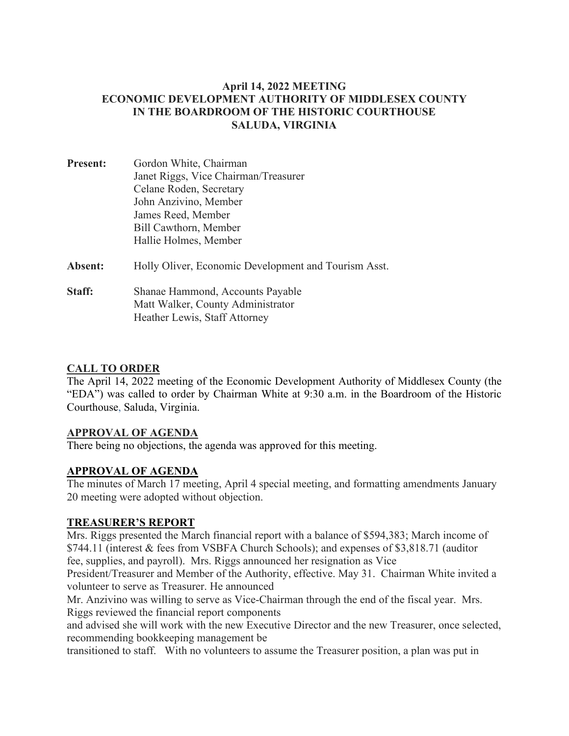### **April 14, 2022 MEETING ECONOMIC DEVELOPMENT AUTHORITY OF MIDDLESEX COUNTY IN THE BOARDROOM OF THE HISTORIC COURTHOUSE SALUDA, VIRGINIA**

- **Present:** Gordon White, Chairman Janet Riggs, Vice Chairman/Treasurer Celane Roden, Secretary John Anzivino, Member James Reed, Member Bill Cawthorn, Member Hallie Holmes, Member Absent: Holly Oliver, Economic Development and Tourism Asst.
- **Staff:** Shanae Hammond, Accounts Payable Matt Walker, County Administrator Heather Lewis, Staff Attorney

## **CALL TO ORDER**

The April 14, 2022 meeting of the Economic Development Authority of Middlesex County (the "EDA") was called to order by Chairman White at 9:30 a.m. in the Boardroom of the Historic Courthouse, Saluda, Virginia.

## **APPROVAL OF AGENDA**

There being no objections, the agenda was approved for this meeting.

## **APPROVAL OF AGENDA**

The minutes of March 17 meeting, April 4 special meeting, and formatting amendments January 20 meeting were adopted without objection.

## **TREASURER'S REPORT**

Mrs. Riggs presented the March financial report with a balance of \$594,383; March income of \$744.11 (interest & fees from VSBFA Church Schools); and expenses of \$3,818.71 (auditor fee, supplies, and payroll). Mrs. Riggs announced her resignation as Vice

President/Treasurer and Member of the Authority, effective. May 31. Chairman White invited a volunteer to serve as Treasurer. He announced

Mr. Anzivino was willing to serve as Vice-Chairman through the end of the fiscal year. Mrs. Riggs reviewed the financial report components

and advised she will work with the new Executive Director and the new Treasurer, once selected, recommending bookkeeping management be

transitioned to staff. With no volunteers to assume the Treasurer position, a plan was put in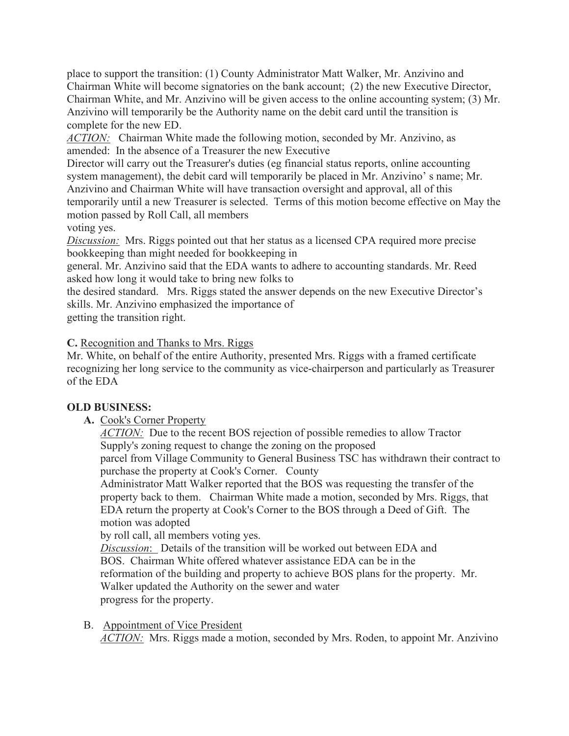place to support the transition: (1) County Administrator Matt Walker, Mr. Anzivino and Chairman White will become signatories on the bank account; (2) the new Executive Director, Chairman White, and Mr. Anzivino will be given access to the online accounting system; (3) Mr. Anzivino will temporarily be the Authority name on the debit card until the transition is complete for the new ED.

*ACTION:* Chairman White made the following motion, seconded by Mr. Anzivino, as amended: In the absence of a Treasurer the new Executive

Director will carry out the Treasurer's duties (eg financial status reports, online accounting system management), the debit card will temporarily be placed in Mr. Anzivino' s name; Mr. Anzivino and Chairman White will have transaction oversight and approval, all of this temporarily until a new Treasurer is selected. Terms of this motion become effective on May the motion passed by Roll Call, all members

voting yes.

*Discussion:* Mrs. Riggs pointed out that her status as a licensed CPA required more precise bookkeeping than might needed for bookkeeping in

general. Mr. Anzivino said that the EDA wants to adhere to accounting standards. Mr. Reed asked how long it would take to bring new folks to

the desired standard. Mrs. Riggs stated the answer depends on the new Executive Director's skills. Mr. Anzivino emphasized the importance of

getting the transition right.

## **C.** Recognition and Thanks to Mrs. Riggs

Mr. White, on behalf of the entire Authority, presented Mrs. Riggs with a framed certificate recognizing her long service to the community as vice-chairperson and particularly as Treasurer of the EDA

# **OLD BUSINESS:**

**A.** Cook's Corner Property

*ACTION:* Due to the recent BOS rejection of possible remedies to allow Tractor Supply's zoning request to change the zoning on the proposed

parcel from Village Community to General Business TSC has withdrawn their contract to purchase the property at Cook's Corner. County

Administrator Matt Walker reported that the BOS was requesting the transfer of the property back to them. Chairman White made a motion, seconded by Mrs. Riggs, that EDA return the property at Cook's Corner to the BOS through a Deed of Gift. The motion was adopted

by roll call, all members voting yes.

*Discussion*: Details of the transition will be worked out between EDA and BOS. Chairman White offered whatever assistance EDA can be in the reformation of the building and property to achieve BOS plans for the property. Mr. Walker updated the Authority on the sewer and water progress for the property.

B. Appointment of Vice President

*ACTION:* Mrs. Riggs made a motion, seconded by Mrs. Roden, to appoint Mr. Anzivino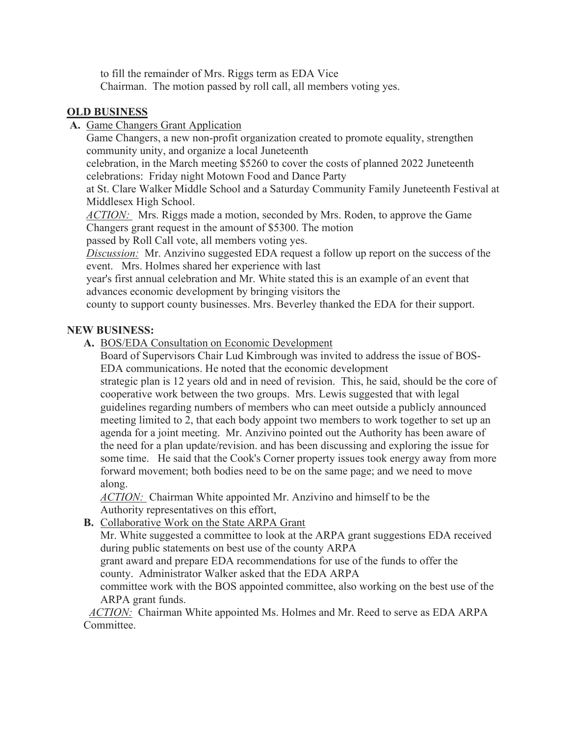to fill the remainder of Mrs. Riggs term as EDA Vice Chairman. The motion passed by roll call, all members voting yes.

## **OLD BUSINESS**

**A.** Game Changers Grant Application

Game Changers, a new non-profit organization created to promote equality, strengthen community unity, and organize a local Juneteenth

celebration, in the March meeting \$5260 to cover the costs of planned 2022 Juneteenth celebrations: Friday night Motown Food and Dance Party

at St. Clare Walker Middle School and a Saturday Community Family Juneteenth Festival at Middlesex High School.

*ACTION:* Mrs. Riggs made a motion, seconded by Mrs. Roden, to approve the Game Changers grant request in the amount of \$5300. The motion

passed by Roll Call vote, all members voting yes.

*Discussion:* Mr. Anzivino suggested EDA request a follow up report on the success of the event. Mrs. Holmes shared her experience with last

year's first annual celebration and Mr. White stated this is an example of an event that advances economic development by bringing visitors the

county to support county businesses. Mrs. Beverley thanked the EDA for their support.

## **NEW BUSINESS:**

**A.** BOS/EDA Consultation on Economic Development

Board of Supervisors Chair Lud Kimbrough was invited to address the issue of BOS-EDA communications. He noted that the economic development

strategic plan is 12 years old and in need of revision. This, he said, should be the core of cooperative work between the two groups. Mrs. Lewis suggested that with legal guidelines regarding numbers of members who can meet outside a publicly announced meeting limited to 2, that each body appoint two members to work together to set up an agenda for a joint meeting. Mr. Anzivino pointed out the Authority has been aware of the need for a plan update/revision. and has been discussing and exploring the issue for some time. He said that the Cook's Corner property issues took energy away from more forward movement; both bodies need to be on the same page; and we need to move along.

*ACTION:* Chairman White appointed Mr. Anzivino and himself to be the Authority representatives on this effort,

**B.** Collaborative Work on the State ARPA Grant

Mr. White suggested a committee to look at the ARPA grant suggestions EDA received during public statements on best use of the county ARPA

grant award and prepare EDA recommendations for use of the funds to offer the county. Administrator Walker asked that the EDA ARPA

committee work with the BOS appointed committee, also working on the best use of the ARPA grant funds.

*ACTION:* Chairman White appointed Ms. Holmes and Mr. Reed to serve as EDA ARPA Committee.